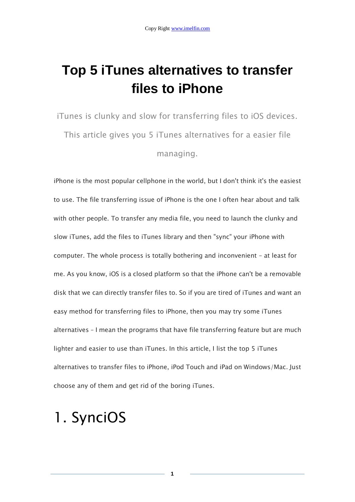### **Top 5 iTunes alternatives to transfer files to iPhone**

iTunes is clunky and slow for transferring files to iOS devices. This article gives you 5 iTunes alternatives for a easier file managing.

iPhone is the most popular cellphone in the world, but I don't think it's the easiest to use. The file transferring issue of iPhone is the one I often hear about and talk with other people. To transfer any media file, you need to launch the clunky and slow iTunes, add the files to iTunes library and then "sync" your iPhone with computer. The whole process is totally bothering and inconvenient – at least for me. As you know, iOS is a closed platform so that the iPhone can't be a removable disk that we can directly transfer files to. So if you are tired of iTunes and want an easy method for transferring files to iPhone, then you may try some iTunes alternatives – I mean the programs that have file transferring feature but are much lighter and easier to use than iTunes. In this article, I list the top 5 iTunes alternatives to transfer files to iPhone, iPod Touch and iPad on Windows/Mac. Just choose any of them and get rid of the boring iTunes.

### 1. SynciOS

**1**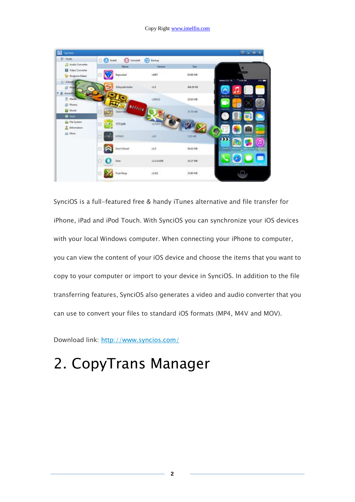#### Copy Right www.imelfin.com



SynciOS is a full-featured free & handy iTunes alternative and file transfer for iPhone, iPad and iPod Touch. With SynciOS you can synchronize your iOS devices with your local Windows computer. When connecting your iPhone to computer, you can view the content of your iOS device and choose the items that you want to copy to your computer or import to your device in SynciOS. In addition to the file transferring features, SynciOS also generates a video and audio converter that you can use to convert your files to standard iOS formats (MP4, M4V and MOV).

Download link: <http://www.syncios.com/>

# 2. CopyTrans Manager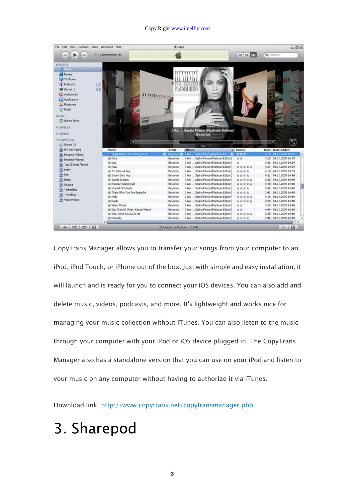#### Copy Right www.imelfin.com



CopyTrans Manager allows you to transfer your songs from your computer to an iPod, iPod Touch, or iPhone out of the box. Just with simple and easy installation, it will launch and is ready for you to connect your iOS devices. You can also add and delete music, videos, podcasts, and more. It's lightweight and works nice for managing your music collection without iTunes. You can also listen to the music through your computer with your iPod or iOS device plugged in. The CopyTrans Manager also has a standalone version that you can use on your iPod and listen to your music on any computer without having to authorize it via iTunes.

Download link: <http://www.copytrans.net/copytransmanager.php>

# 3. Sharepod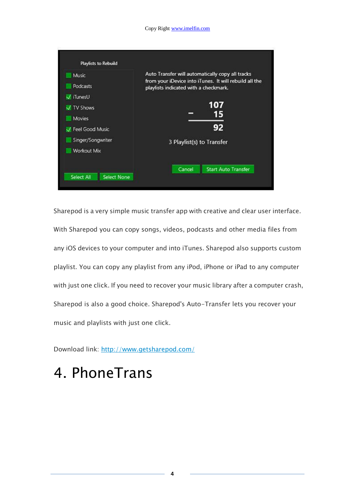| Playlists to Rebuild |                                                                                                            |  |  |  |  |  |
|----------------------|------------------------------------------------------------------------------------------------------------|--|--|--|--|--|
| Music                | Auto Transfer will automatically copy all tracks<br>from your iDevice into iTunes. It will rebuild all the |  |  |  |  |  |
| <b>Podcasts</b>      | playlists indicated with a checkmark.                                                                      |  |  |  |  |  |
| V iTunesU            |                                                                                                            |  |  |  |  |  |
| V TV Shows           | 107                                                                                                        |  |  |  |  |  |
| Movies               | 15                                                                                                         |  |  |  |  |  |
| Feel Good Music      | 92                                                                                                         |  |  |  |  |  |
| Singer/Songwriter    | 3 Playlist(s) to Transfer                                                                                  |  |  |  |  |  |
| Workout Mix          |                                                                                                            |  |  |  |  |  |
|                      | Cancel<br><b>Start Auto Transfer</b>                                                                       |  |  |  |  |  |

Sharepod is a very simple music transfer app with creative and clear user interface. With Sharepod you can copy songs, videos, podcasts and other media files from any iOS devices to your computer and into iTunes. Sharepod also supports custom playlist. You can copy any playlist from any iPod, iPhone or iPad to any computer with just one click. If you need to recover your music library after a computer crash, Sharepod is also a good choice. Sharepod's Auto-Transfer lets you recover your music and playlists with just one click.

Download link: <http://www.getsharepod.com/>

## 4. PhoneTrans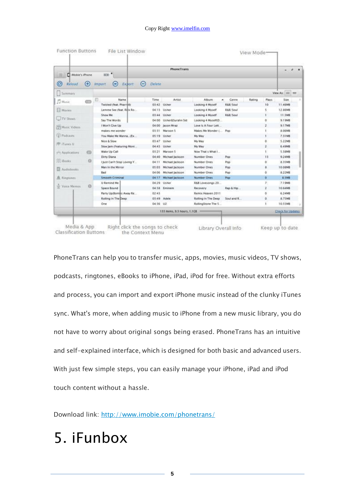#### Copy Right www.imelfin.com

| <b>PhoneTrans</b><br>800 <sup>2</sup><br>Mobie's iPhone |           |                           |                          |                            |          |                              |                  |                     |                     |        |        |                          |
|---------------------------------------------------------|-----------|---------------------------|--------------------------|----------------------------|----------|------------------------------|------------------|---------------------|---------------------|--------|--------|--------------------------|
| $\odot$<br>Reload                                       | Θ         | <b>Import</b>             | ⊝                        | Export                     | $\left($ | <b>Delete</b>                |                  |                     |                     |        |        |                          |
| Summary                                                 |           |                           |                          |                            |          |                              |                  |                     |                     |        |        | View As: 100 533         |
| <b>J</b> Music                                          | <b>CD</b> | 四                         |                          | Name                       |          | Time                         | <b>Artist</b>    | <b>Album</b>        | Cenre<br>$\epsilon$ | Rating | Plays  | Size                     |
|                                                         |           |                           | Twisted (feat, Pharrell) |                            |          | 03:42                        | Usher            | Looking 4 Myself    | R&B/Sout            |        | 10     | 11.46MB                  |
| <b>E</b> Movies                                         |           |                           |                          | Lemme See (feat. Rick Ro   |          | 04:13                        | Usher            | Looking 4 Myself    | R&&/Sout            |        | 5      | 12.86MB                  |
|                                                         |           | Show Me                   |                          |                            |          | 03:44                        | Usher            | Looking 4 Myself    | R&B/Sout            |        |        | 11,5MB                   |
| <b>TV Shows</b>                                         |           |                           | Say The Words            |                            |          | 04:00                        | Usher&Surahn Sid | Looking 4 MyselliD  |                     |        | ō      | 9.19MB                   |
| Music Videos                                            |           |                           | I Won't Give Up          |                            |          | 04:00                        | Jason Mraz       | Love Is A Four Lett |                     |        | ž      | 9.17MB                   |
|                                                         |           | makes me wonder           |                          |                            |          | 03:31                        | Maroon 5         | Makes Me Wonder L.  | Pop                 |        |        | 8.06MB                   |
| <b>D</b> Podcasts                                       |           |                           |                          | You Make Me Wanna (Ex      |          | 05:19                        | Usher            | My Way              |                     |        |        | 7.31MB                   |
| 度 iTunes U                                              |           | Nice & Slow               |                          |                            |          | 03:47                        | Usher            | My Way              |                     |        | ٥      | 5.22MB                   |
|                                                         |           | Slow Jam (Featuring Mont) |                          |                            |          | 04:45                        | Usher            | My Way              |                     |        | ź      | 6.49MB                   |
| y <sup>2</sup> Applications                             | 43        |                           | Wake Up Call             |                            |          | 03:21                        | Margon S         | Now That s'What I   |                     |        |        | 5.38MB                   |
|                                                         |           | Dirty Diana               |                          |                            | 04:40    | Michael Jackson              | Number Ones      | Pop                 |                     | 13     | 9.24MB |                          |
| <b>III</b> Books                                        | $\Omega$  |                           |                          | I just Can't Stop Loving Y |          | 04:11                        | Michael Jackson  | Number Ones         | Pop                 |        | ö      | 8.35MB                   |
| Audiobooks                                              |           |                           | Man in the Mirror        |                            |          | 05.03                        | Michael Jackson  | Number Ones         | Pop                 |        | s      | 10.08MB                  |
|                                                         |           | <b>Bad</b>                |                          |                            |          | 04:06                        | Michael Jackson  | Number Ones         | Pop                 |        | à      | 8.22MB                   |
| <b>鱼 Ringtones</b>                                      |           |                           | <b>Smooth Criminal</b>   |                            |          | 04:17                        | Michael Jackson  | <b>Number Ones</b>  | Pop                 |        | ö      | <b>8.5MB</b>             |
| U. Voice Memos                                          | $\Omega$  |                           | <b>U Remind Me</b>       |                            |          | 04:29                        | Usher            | R&B Lovesongs 20    |                     |        | Z.     | <b>7.19MB</b>            |
|                                                         |           |                           | Space Bound              |                            |          | 04:58                        | <b>Eminem</b>    | Recovery            | Rap & Hip.          |        | ž      | 10.64MB                  |
|                                                         |           |                           |                          | Party Up(Bombs Away Re     |          | $02-43$                      |                  | Remix Heaven 2011   |                     |        | ö      | 6.24MB                   |
|                                                         |           |                           | Rolling In The Deep      |                            |          |                              | 03.49 Adele      | Rolling In The Deep | Soul and R          |        | ö      | 8.75MB                   |
|                                                         |           | One                       |                          |                            |          | 04:36 U2                     |                  | RollingStone The S  |                     |        | ï      | <b>10.55MB</b>           |
|                                                         |           |                           |                          |                            |          | 133 Iberns, 9,3 hours, 1,1CB |                  |                     |                     |        |        | <b>Check for Updates</b> |

PhoneTrans can help you to transfer music, apps, movies, music videos, TV shows, podcasts, ringtones, eBooks to iPhone, iPad, iPod for free. Without extra efforts and process, you can import and export iPhone music instead of the clunky iTunes sync. What's more, when adding music to iPhone from a new music library, you do not have to worry about original songs being erased. PhoneTrans has an intuitive and self-explained interface, which is designed for both basic and advanced users. With just few simple steps, you can easily manage your iPhone, iPad and iPod touch content without a hassle.

Download link: <http://www.imobie.com/phonetrans/>

## 5. iFunbox